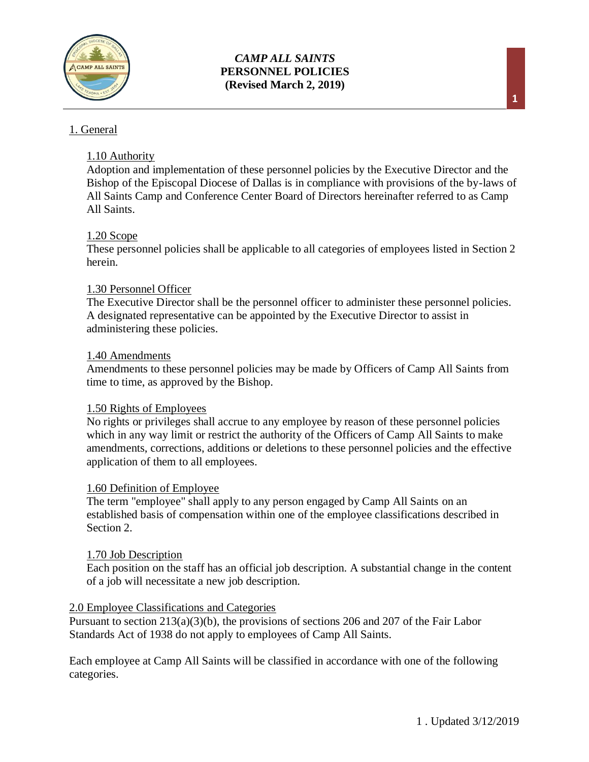

## 1. General

## 1.10 Authority

Adoption and implementation of these personnel policies by the Executive Director and the Bishop of the Episcopal Diocese of Dallas is in compliance with provisions of the by-laws of All Saints Camp and Conference Center Board of Directors hereinafter referred to as Camp All Saints.

## 1.20 Scope

These personnel policies shall be applicable to all categories of employees listed in Section 2 herein.

## 1.30 Personnel Officer

The Executive Director shall be the personnel officer to administer these personnel policies. A designated representative can be appointed by the Executive Director to assist in administering these policies.

#### 1.40 Amendments

Amendments to these personnel policies may be made by Officers of Camp All Saints from time to time, as approved by the Bishop.

## 1.50 Rights of Employees

No rights or privileges shall accrue to any employee by reason of these personnel policies which in any way limit or restrict the authority of the Officers of Camp All Saints to make amendments, corrections, additions or deletions to these personnel policies and the effective application of them to all employees.

#### 1.60 Definition of Employee

The term "employee" shall apply to any person engaged by Camp All Saints on an established basis of compensation within one of the employee classifications described in Section 2.

#### 1.70 Job Description

Each position on the staff has an official job description. A substantial change in the content of a job will necessitate a new job description.

#### 2.0 Employee Classifications and Categories

Pursuant to section 213(a)(3)(b), the provisions of sections 206 and 207 of the Fair Labor Standards Act of 1938 do not apply to employees of Camp All Saints.

Each employee at Camp All Saints will be classified in accordance with one of the following categories.

**1**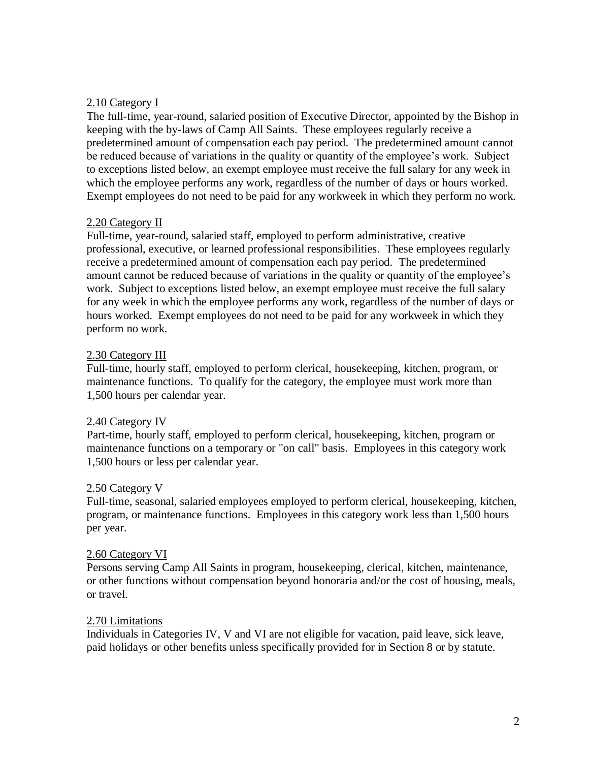## 2.10 Category I

The full-time, year-round, salaried position of Executive Director, appointed by the Bishop in keeping with the by-laws of Camp All Saints. These employees regularly receive a predetermined amount of compensation each pay period. The predetermined amount cannot be reduced because of variations in the quality or quantity of the employee's work. Subject to exceptions listed below, an exempt employee must receive the full salary for any week in which the employee performs any work, regardless of the number of days or hours worked. Exempt employees do not need to be paid for any workweek in which they perform no work.

## 2.20 Category II

Full-time, year-round, salaried staff, employed to perform administrative, creative professional, executive, or learned professional responsibilities. These employees regularly receive a predetermined amount of compensation each pay period. The predetermined amount cannot be reduced because of variations in the quality or quantity of the employee's work. Subject to exceptions listed below, an exempt employee must receive the full salary for any week in which the employee performs any work, regardless of the number of days or hours worked. Exempt employees do not need to be paid for any workweek in which they perform no work.

## 2.30 Category III

Full-time, hourly staff, employed to perform clerical, housekeeping, kitchen, program, or maintenance functions. To qualify for the category, the employee must work more than 1,500 hours per calendar year.

## 2.40 Category IV

Part-time, hourly staff, employed to perform clerical, housekeeping, kitchen, program or maintenance functions on a temporary or "on call" basis. Employees in this category work 1,500 hours or less per calendar year.

## 2.50 Category V

Full-time, seasonal, salaried employees employed to perform clerical, housekeeping, kitchen, program, or maintenance functions. Employees in this category work less than 1,500 hours per year.

## 2.60 Category VI

Persons serving Camp All Saints in program, housekeeping, clerical, kitchen, maintenance, or other functions without compensation beyond honoraria and/or the cost of housing, meals, or travel.

## 2.70 Limitations

Individuals in Categories IV, V and VI are not eligible for vacation, paid leave, sick leave, paid holidays or other benefits unless specifically provided for in Section 8 or by statute.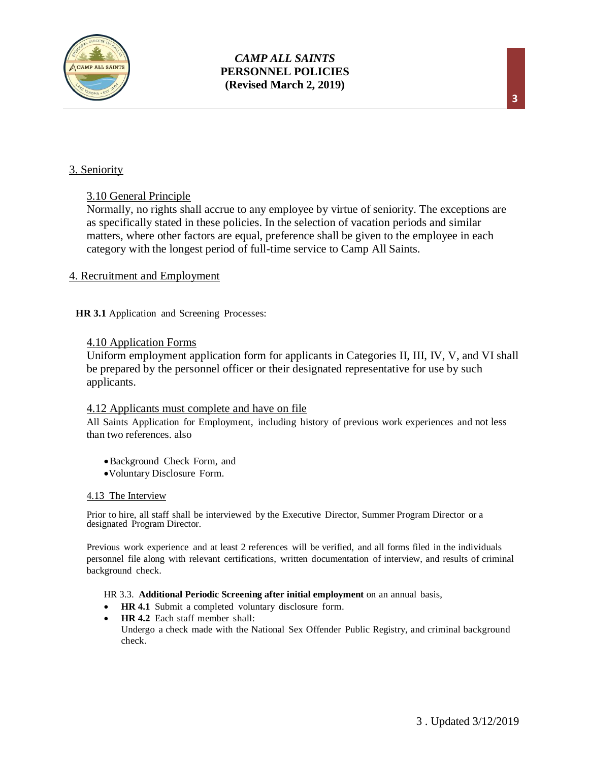

#### 3. Seniority

#### 3.10 General Principle

Normally, no rights shall accrue to any employee by virtue of seniority. The exceptions are as specifically stated in these policies. In the selection of vacation periods and similar matters, where other factors are equal, preference shall be given to the employee in each category with the longest period of full-time service to Camp All Saints.

#### 4. Recruitment and Employment

**HR 3.1** Application and Screening Processes:

#### 4.10 Application Forms

Uniform employment application form for applicants in Categories II, III, IV, V, and VI shall be prepared by the personnel officer or their designated representative for use by such applicants.

#### 4.12 Applicants must complete and have on file

All Saints Application for Employment, including history of previous work experiences and not less than two references. also

- •Background Check Form, and
- •Voluntary Disclosure Form.

#### 4.13 The Interview

Prior to hire, all staff shall be interviewed by the Executive Director, Summer Program Director or a designated Program Director.

Previous work experience and at least 2 references will be verified, and all forms filed in the individuals personnel file along with relevant certifications, written documentation of interview, and results of criminal background check.

#### HR 3.3. **Additional Periodic Screening after initial employment** on an annual basis,

- **HR 4.1** Submit a completed voluntary disclosure form.
- **HR 4.2** Each staff member shall: Undergo a check made with the National Sex Offender Public Registry, and criminal background check.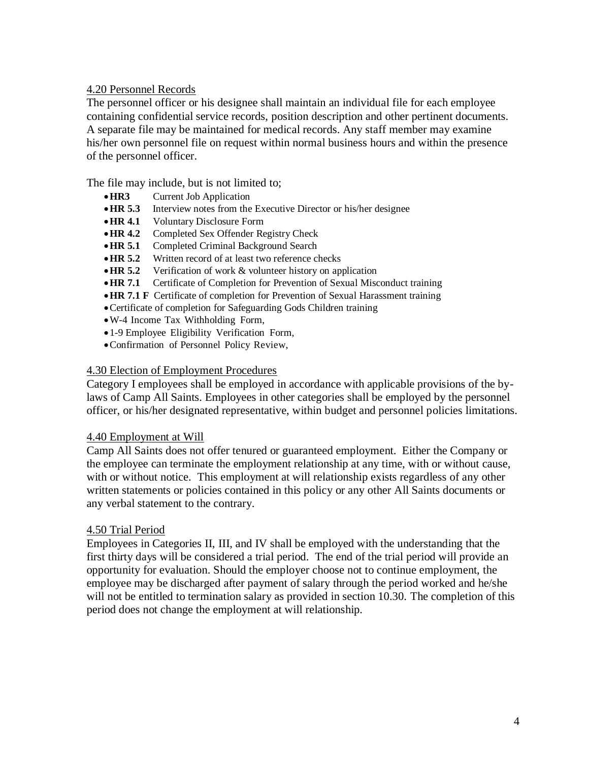## 4.20 Personnel Records

The personnel officer or his designee shall maintain an individual file for each employee containing confidential service records, position description and other pertinent documents. A separate file may be maintained for medical records. Any staff member may examine his/her own personnel file on request within normal business hours and within the presence of the personnel officer.

The file may include, but is not limited to;

- •**HR3** Current Job Application
- •**HR 5.3** Interview notes from the Executive Director or his/her designee
- •**HR 4.1** Voluntary Disclosure Form
- •**HR 4.2** Completed Sex Offender Registry Check
- •**HR 5.1** Completed Criminal Background Search
- •**HR 5.2** Written record of at least two reference checks
- •**HR 5.2** Verification of work & volunteer history on application
- •**HR 7.1** Certificate of Completion for Prevention of Sexual Misconduct training
- •**HR 7.1 F** Certificate of completion for Prevention of Sexual Harassment training
- •Certificate of completion for Safeguarding Gods Children training
- •W-4 Income Tax Withholding Form,
- •1-9 Employee Eligibility Verification Form,
- •Confirmation of Personnel Policy Review,

#### 4.30 Election of Employment Procedures

Category I employees shall be employed in accordance with applicable provisions of the bylaws of Camp All Saints. Employees in other categories shall be employed by the personnel officer, or his/her designated representative, within budget and personnel policies limitations.

#### 4.40 Employment at Will

Camp All Saints does not offer tenured or guaranteed employment. Either the Company or the employee can terminate the employment relationship at any time, with or without cause, with or without notice. This employment at will relationship exists regardless of any other written statements or policies contained in this policy or any other All Saints documents or any verbal statement to the contrary.

## 4.50 Trial Period

Employees in Categories II, III, and IV shall be employed with the understanding that the first thirty days will be considered a trial period. The end of the trial period will provide an opportunity for evaluation. Should the employer choose not to continue employment, the employee may be discharged after payment of salary through the period worked and he/she will not be entitled to termination salary as provided in section 10.30. The completion of this period does not change the employment at will relationship.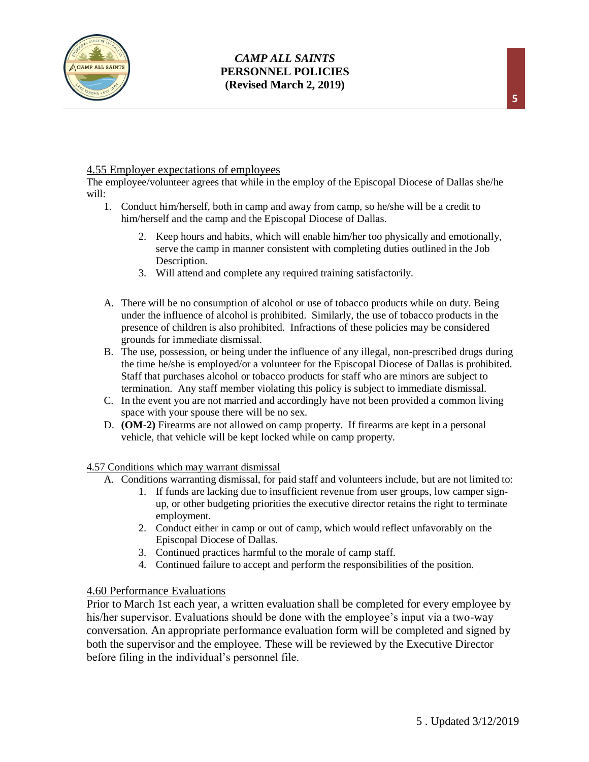

## 4.55 Employer expectations of employees

The employee/volunteer agrees that while in the employ of the Episcopal Diocese of Dallas she/he will:

- 1. Conduct him/herself, both in camp and away from camp, so he/she will be a credit to him/herself and the camp and the Episcopal Diocese of Dallas.
	- 2. Keep hours and habits, which will enable him/her too physically and emotionally, serve the camp in manner consistent with completing duties outlined in the Job Description.
	- 3. Will attend and complete any required training satisfactorily.
- A. There will be no consumption of alcohol or use of tobacco products while on duty. Being under the influence of alcohol is prohibited. Similarly, the use of tobacco products in the presence of children is also prohibited. Infractions of these policies may be considered grounds for immediate dismissal.
- B. The use, possession, or being under the influence of any illegal, non-prescribed drugs during the time he/she is employed/or a volunteer for the Episcopal Diocese of Dallas is prohibited. Staff that purchases alcohol or tobacco products for staff who are minors are subject to termination. Any staff member violating this policy is subject to immediate dismissal.
- C. In the event you are not married and accordingly have not been provided a common living space with your spouse there will be no sex.
- D. **(OM-2)** Firearms are not allowed on camp property. If firearms are kept in a personal vehicle, that vehicle will be kept locked while on camp property.

4.57 Conditions which may warrant dismissal

- A. Conditions warranting dismissal, for paid staff and volunteers include, but are not limited to:
	- 1. If funds are lacking due to insufficient revenue from user groups, low camper signup, or other budgeting priorities the executive director retains the right to terminate employment.
	- 2. Conduct either in camp or out of camp, which would reflect unfavorably on the Episcopal Diocese of Dallas.
	- 3. Continued practices harmful to the morale of camp staff.
	- 4. Continued failure to accept and perform the responsibilities of the position.

#### 4.60 Performance Evaluations

Prior to March 1st each year, a written evaluation shall be completed for every employee by his/her supervisor. Evaluations should be done with the employee's input via a two-way conversation. An appropriate performance evaluation form will be completed and signed by both the supervisor and the employee. These will be reviewed by the Executive Director before filing in the individual's personnel file.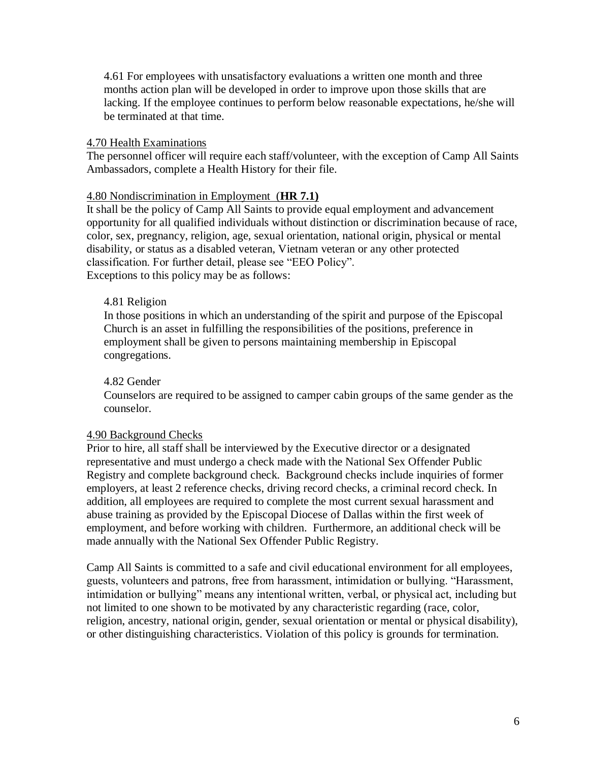4.61 For employees with unsatisfactory evaluations a written one month and three months action plan will be developed in order to improve upon those skills that are lacking. If the employee continues to perform below reasonable expectations, he/she will be terminated at that time.

#### 4.70 Health Examinations

The personnel officer will require each staff/volunteer, with the exception of Camp All Saints Ambassadors, complete a Health History for their file.

#### 4.80 Nondiscrimination in Employment (**HR 7.1)**

It shall be the policy of Camp All Saints to provide equal employment and advancement opportunity for all qualified individuals without distinction or discrimination because of race, color, sex, pregnancy, religion, age, sexual orientation, national origin, physical or mental disability, or status as a disabled veteran, Vietnam veteran or any other protected classification. For further detail, please see "EEO Policy". Exceptions to this policy may be as follows:

#### 4.81 Religion

In those positions in which an understanding of the spirit and purpose of the Episcopal Church is an asset in fulfilling the responsibilities of the positions, preference in employment shall be given to persons maintaining membership in Episcopal congregations.

#### 4.82 Gender

Counselors are required to be assigned to camper cabin groups of the same gender as the counselor.

#### 4.90 Background Checks

Prior to hire, all staff shall be interviewed by the Executive director or a designated representative and must undergo a check made with the National Sex Offender Public Registry and complete background check. Background checks include inquiries of former employers, at least 2 reference checks, driving record checks, a criminal record check. In addition, all employees are required to complete the most current sexual harassment and abuse training as provided by the Episcopal Diocese of Dallas within the first week of employment, and before working with children. Furthermore, an additional check will be made annually with the National Sex Offender Public Registry.

Camp All Saints is committed to a safe and civil educational environment for all employees, guests, volunteers and patrons, free from harassment, intimidation or bullying. "Harassment, intimidation or bullying" means any intentional written, verbal, or physical act, including but not limited to one shown to be motivated by any characteristic regarding (race, color, religion, ancestry, national origin, gender, sexual orientation or mental or physical disability), or other distinguishing characteristics. Violation of this policy is grounds for termination.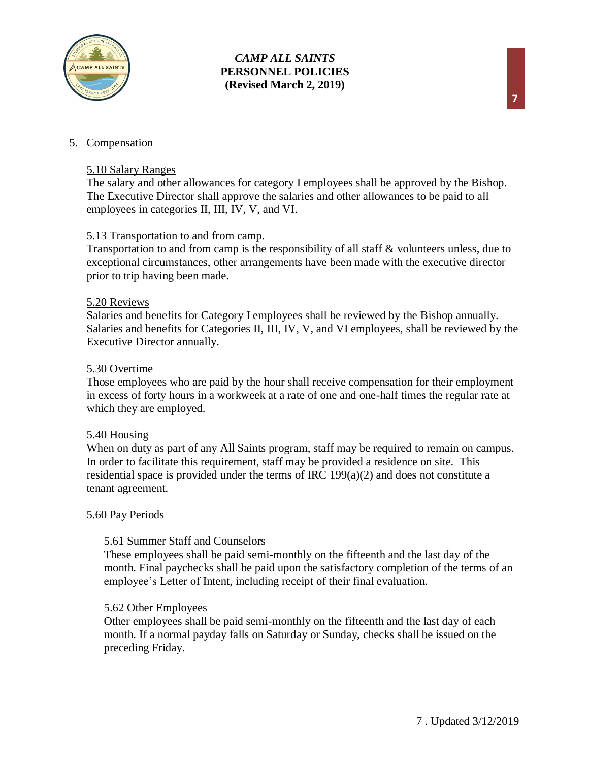

## 5. Compensation

#### 5.10 Salary Ranges

The salary and other allowances for category I employees shall be approved by the Bishop. The Executive Director shall approve the salaries and other allowances to be paid to all employees in categories II, III, IV, V, and VI.

## 5.13 Transportation to and from camp.

Transportation to and from camp is the responsibility of all staff & volunteers unless, due to exceptional circumstances, other arrangements have been made with the executive director prior to trip having been made.

#### 5.20 Reviews

Salaries and benefits for Category I employees shall be reviewed by the Bishop annually. Salaries and benefits for Categories II, III, IV, V, and VI employees, shall be reviewed by the Executive Director annually.

#### 5.30 Overtime

Those employees who are paid by the hour shall receive compensation for their employment in excess of forty hours in a workweek at a rate of one and one-half times the regular rate at which they are employed.

#### 5.40 Housing

When on duty as part of any All Saints program, staff may be required to remain on campus. In order to facilitate this requirement, staff may be provided a residence on site. This residential space is provided under the terms of IRC 199(a)(2) and does not constitute a tenant agreement.

#### 5.60 Pay Periods

#### 5.61 Summer Staff and Counselors

These employees shall be paid semi-monthly on the fifteenth and the last day of the month. Final paychecks shall be paid upon the satisfactory completion of the terms of an employee's Letter of Intent, including receipt of their final evaluation.

## 5.62 Other Employees

Other employees shall be paid semi-monthly on the fifteenth and the last day of each month. If a normal payday falls on Saturday or Sunday, checks shall be issued on the preceding Friday.

**7**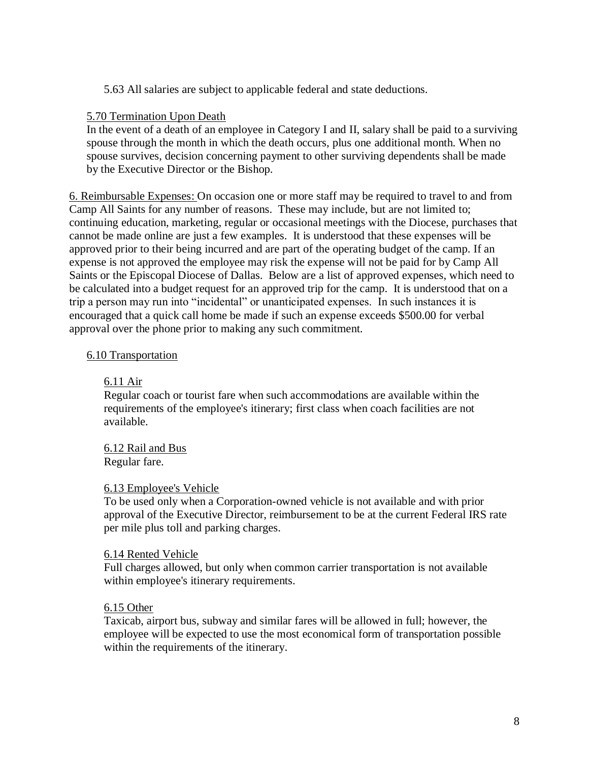5.63 All salaries are subject to applicable federal and state deductions.

## 5.70 Termination Upon Death

In the event of a death of an employee in Category I and II, salary shall be paid to a surviving spouse through the month in which the death occurs, plus one additional month. When no spouse survives, decision concerning payment to other surviving dependents shall be made by the Executive Director or the Bishop.

6. Reimbursable Expenses: On occasion one or more staff may be required to travel to and from Camp All Saints for any number of reasons. These may include, but are not limited to; continuing education, marketing, regular or occasional meetings with the Diocese, purchases that cannot be made online are just a few examples. It is understood that these expenses will be approved prior to their being incurred and are part of the operating budget of the camp. If an expense is not approved the employee may risk the expense will not be paid for by Camp All Saints or the Episcopal Diocese of Dallas. Below are a list of approved expenses, which need to be calculated into a budget request for an approved trip for the camp. It is understood that on a trip a person may run into "incidental" or unanticipated expenses. In such instances it is encouraged that a quick call home be made if such an expense exceeds \$500.00 for verbal approval over the phone prior to making any such commitment.

## 6.10 Transportation

## 6.11 Air

Regular coach or tourist fare when such accommodations are available within the requirements of the employee's itinerary; first class when coach facilities are not available.

6.12 Rail and Bus Regular fare.

## 6.13 Employee's Vehicle

To be used only when a Corporation-owned vehicle is not available and with prior approval of the Executive Director, reimbursement to be at the current Federal IRS rate per mile plus toll and parking charges.

## 6.14 Rented Vehicle

Full charges allowed, but only when common carrier transportation is not available within employee's itinerary requirements.

## 6.15 Other

Taxicab, airport bus, subway and similar fares will be allowed in full; however, the employee will be expected to use the most economical form of transportation possible within the requirements of the itinerary.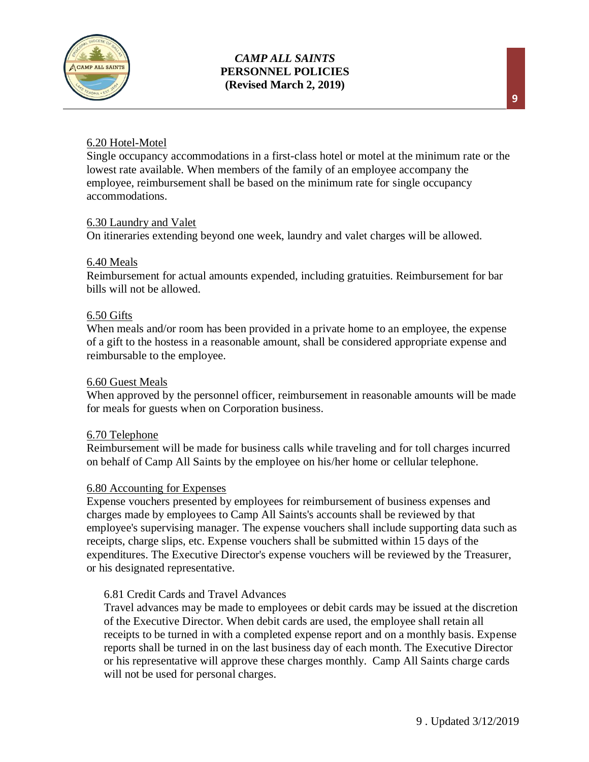

## 6.20 Hotel-Motel

Single occupancy accommodations in a first-class hotel or motel at the minimum rate or the lowest rate available. When members of the family of an employee accompany the employee, reimbursement shall be based on the minimum rate for single occupancy accommodations.

## 6.30 Laundry and Valet

On itineraries extending beyond one week, laundry and valet charges will be allowed.

#### 6.40 Meals

Reimbursement for actual amounts expended, including gratuities. Reimbursement for bar bills will not be allowed.

#### 6.50 Gifts

When meals and/or room has been provided in a private home to an employee, the expense of a gift to the hostess in a reasonable amount, shall be considered appropriate expense and reimbursable to the employee.

#### 6.60 Guest Meals

When approved by the personnel officer, reimbursement in reasonable amounts will be made for meals for guests when on Corporation business.

#### 6.70 Telephone

Reimbursement will be made for business calls while traveling and for toll charges incurred on behalf of Camp All Saints by the employee on his/her home or cellular telephone.

#### 6.80 Accounting for Expenses

Expense vouchers presented by employees for reimbursement of business expenses and charges made by employees to Camp All Saints's accounts shall be reviewed by that employee's supervising manager. The expense vouchers shall include supporting data such as receipts, charge slips, etc. Expense vouchers shall be submitted within 15 days of the expenditures. The Executive Director's expense vouchers will be reviewed by the Treasurer, or his designated representative.

## 6.81 Credit Cards and Travel Advances

Travel advances may be made to employees or debit cards may be issued at the discretion of the Executive Director. When debit cards are used, the employee shall retain all receipts to be turned in with a completed expense report and on a monthly basis. Expense reports shall be turned in on the last business day of each month. The Executive Director or his representative will approve these charges monthly. Camp All Saints charge cards will not be used for personal charges.

**9**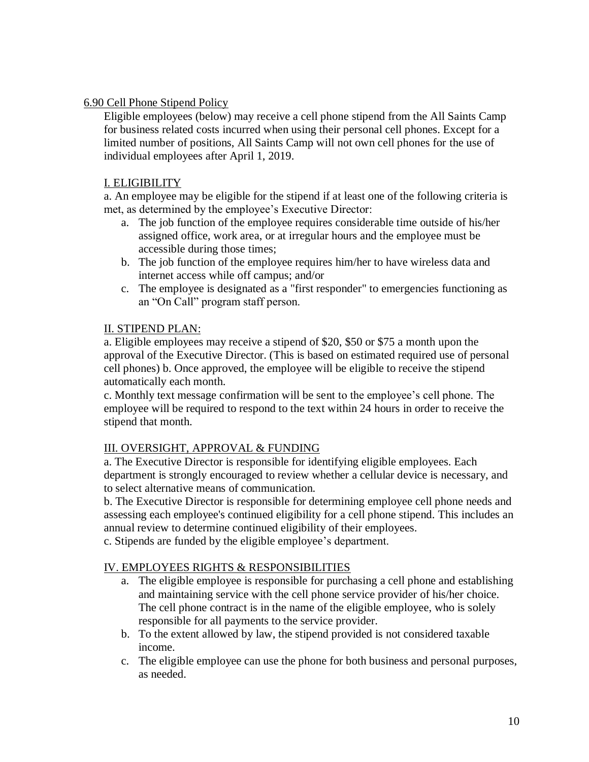## 6.90 Cell Phone Stipend Policy

Eligible employees (below) may receive a cell phone stipend from the All Saints Camp for business related costs incurred when using their personal cell phones. Except for a limited number of positions, All Saints Camp will not own cell phones for the use of individual employees after April 1, 2019.

## I. ELIGIBILITY

a. An employee may be eligible for the stipend if at least one of the following criteria is met, as determined by the employee's Executive Director:

- a. The job function of the employee requires considerable time outside of his/her assigned office, work area, or at irregular hours and the employee must be accessible during those times;
- b. The job function of the employee requires him/her to have wireless data and internet access while off campus; and/or
- c. The employee is designated as a "first responder" to emergencies functioning as an "On Call" program staff person.

## II. STIPEND PLAN:

a. Eligible employees may receive a stipend of \$20, \$50 or \$75 a month upon the approval of the Executive Director. (This is based on estimated required use of personal cell phones) b. Once approved, the employee will be eligible to receive the stipend automatically each month.

c. Monthly text message confirmation will be sent to the employee's cell phone. The employee will be required to respond to the text within 24 hours in order to receive the stipend that month.

## III. OVERSIGHT, APPROVAL & FUNDING

a. The Executive Director is responsible for identifying eligible employees. Each department is strongly encouraged to review whether a cellular device is necessary, and to select alternative means of communication.

b. The Executive Director is responsible for determining employee cell phone needs and assessing each employee's continued eligibility for a cell phone stipend. This includes an annual review to determine continued eligibility of their employees.

c. Stipends are funded by the eligible employee's department.

## IV. EMPLOYEES RIGHTS & RESPONSIBILITIES

- a. The eligible employee is responsible for purchasing a cell phone and establishing and maintaining service with the cell phone service provider of his/her choice. The cell phone contract is in the name of the eligible employee, who is solely responsible for all payments to the service provider.
- b. To the extent allowed by law, the stipend provided is not considered taxable income.
- c. The eligible employee can use the phone for both business and personal purposes, as needed.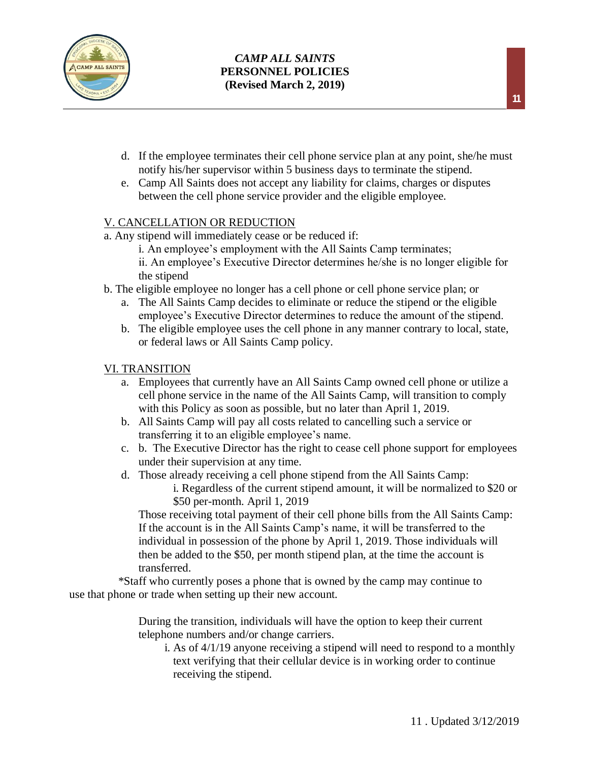

- d. If the employee terminates their cell phone service plan at any point, she/he must notify his/her supervisor within 5 business days to terminate the stipend.
- e. Camp All Saints does not accept any liability for claims, charges or disputes between the cell phone service provider and the eligible employee.

## V. CANCELLATION OR REDUCTION

- a. Any stipend will immediately cease or be reduced if:
	- i. An employee's employment with the All Saints Camp terminates;
	- ii. An employee's Executive Director determines he/she is no longer eligible for the stipend
- b. The eligible employee no longer has a cell phone or cell phone service plan; or
	- a. The All Saints Camp decides to eliminate or reduce the stipend or the eligible employee's Executive Director determines to reduce the amount of the stipend.
	- b. The eligible employee uses the cell phone in any manner contrary to local, state, or federal laws or All Saints Camp policy.

## VI. TRANSITION

- a. Employees that currently have an All Saints Camp owned cell phone or utilize a cell phone service in the name of the All Saints Camp, will transition to comply with this Policy as soon as possible, but no later than April 1, 2019.
- b. All Saints Camp will pay all costs related to cancelling such a service or transferring it to an eligible employee's name.
- c. b. The Executive Director has the right to cease cell phone support for employees under their supervision at any time.
- d. Those already receiving a cell phone stipend from the All Saints Camp:
	- i. Regardless of the current stipend amount, it will be normalized to \$20 or \$50 per-month. April 1, 2019

Those receiving total payment of their cell phone bills from the All Saints Camp: If the account is in the All Saints Camp's name, it will be transferred to the individual in possession of the phone by April 1, 2019. Those individuals will then be added to the \$50, per month stipend plan, at the time the account is transferred.

 \*Staff who currently poses a phone that is owned by the camp may continue to use that phone or trade when setting up their new account.

> During the transition, individuals will have the option to keep their current telephone numbers and/or change carriers.

i. As of 4/1/19 anyone receiving a stipend will need to respond to a monthly text verifying that their cellular device is in working order to continue receiving the stipend.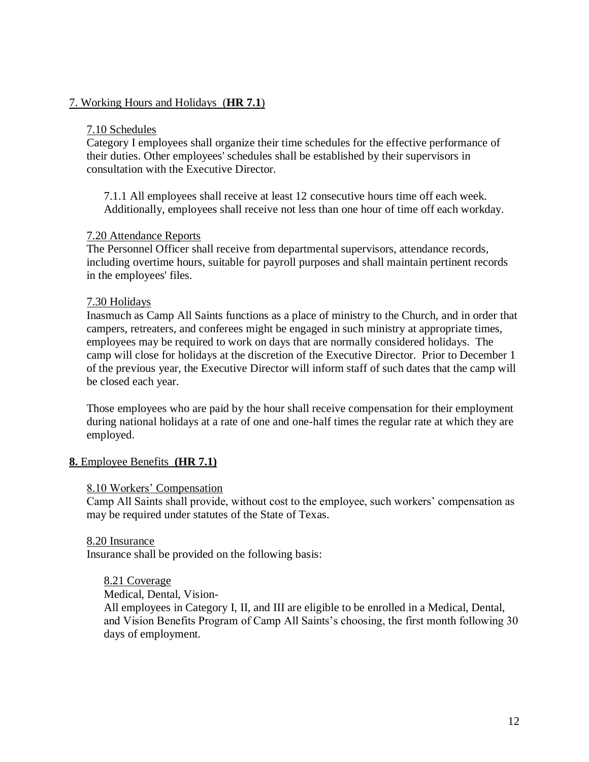## 7. Working Hours and Holidays (**HR 7.1**)

#### 7.10 Schedules

Category I employees shall organize their time schedules for the effective performance of their duties. Other employees' schedules shall be established by their supervisors in consultation with the Executive Director.

7.1.1 All employees shall receive at least 12 consecutive hours time off each week. Additionally, employees shall receive not less than one hour of time off each workday.

#### 7.20 Attendance Reports

The Personnel Officer shall receive from departmental supervisors, attendance records, including overtime hours, suitable for payroll purposes and shall maintain pertinent records in the employees' files.

#### 7.30 Holidays

Inasmuch as Camp All Saints functions as a place of ministry to the Church, and in order that campers, retreaters, and conferees might be engaged in such ministry at appropriate times, employees may be required to work on days that are normally considered holidays. The camp will close for holidays at the discretion of the Executive Director. Prior to December 1 of the previous year, the Executive Director will inform staff of such dates that the camp will be closed each year.

Those employees who are paid by the hour shall receive compensation for their employment during national holidays at a rate of one and one-half times the regular rate at which they are employed.

## **8.** Employee Benefits **(HR 7.1)**

#### 8.10 Workers' Compensation

Camp All Saints shall provide, without cost to the employee, such workers' compensation as may be required under statutes of the State of Texas.

#### 8.20 Insurance

Insurance shall be provided on the following basis:

#### 8.21 Coverage

Medical, Dental, Vision-

All employees in Category I, II, and III are eligible to be enrolled in a Medical, Dental, and Vision Benefits Program of Camp All Saints's choosing, the first month following 30 days of employment.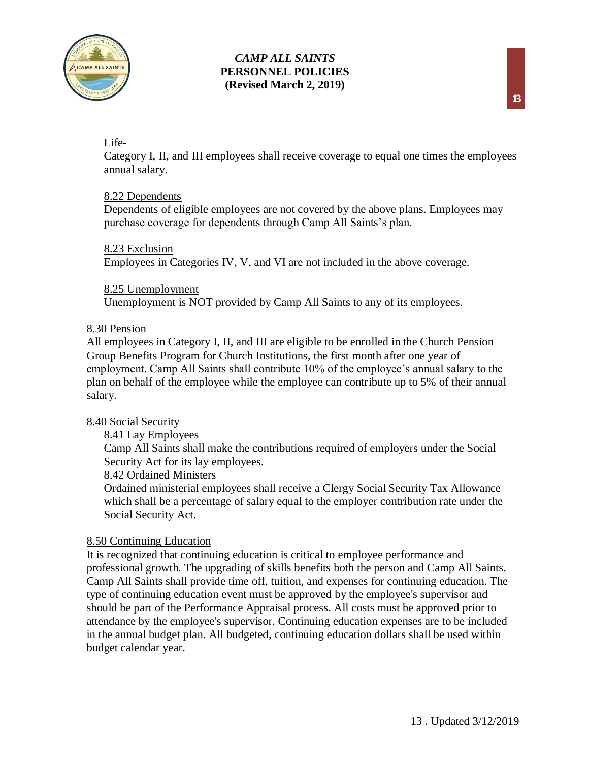

## Life-

Category I, II, and III employees shall receive coverage to equal one times the employees annual salary.

## 8.22 Dependents

Dependents of eligible employees are not covered by the above plans. Employees may purchase coverage for dependents through Camp All Saints's plan.

## 8.23 Exclusion

Employees in Categories IV, V, and VI are not included in the above coverage.

## 8.25 Unemployment

Unemployment is NOT provided by Camp All Saints to any of its employees.

## 8.30 Pension

All employees in Category I, II, and III are eligible to be enrolled in the Church Pension Group Benefits Program for Church Institutions, the first month after one year of employment. Camp All Saints shall contribute 10% of the employee's annual salary to the plan on behalf of the employee while the employee can contribute up to 5% of their annual salary.

## 8.40 Social Security

8.41 Lay Employees

Camp All Saints shall make the contributions required of employers under the Social Security Act for its lay employees.

## 8.42 Ordained Ministers

Ordained ministerial employees shall receive a Clergy Social Security Tax Allowance which shall be a percentage of salary equal to the employer contribution rate under the Social Security Act.

## 8.50 Continuing Education

It is recognized that continuing education is critical to employee performance and professional growth. The upgrading of skills benefits both the person and Camp All Saints. Camp All Saints shall provide time off, tuition, and expenses for continuing education. The type of continuing education event must be approved by the employee's supervisor and should be part of the Performance Appraisal process. All costs must be approved prior to attendance by the employee's supervisor. Continuing education expenses are to be included in the annual budget plan. All budgeted, continuing education dollars shall be used within budget calendar year.

**13**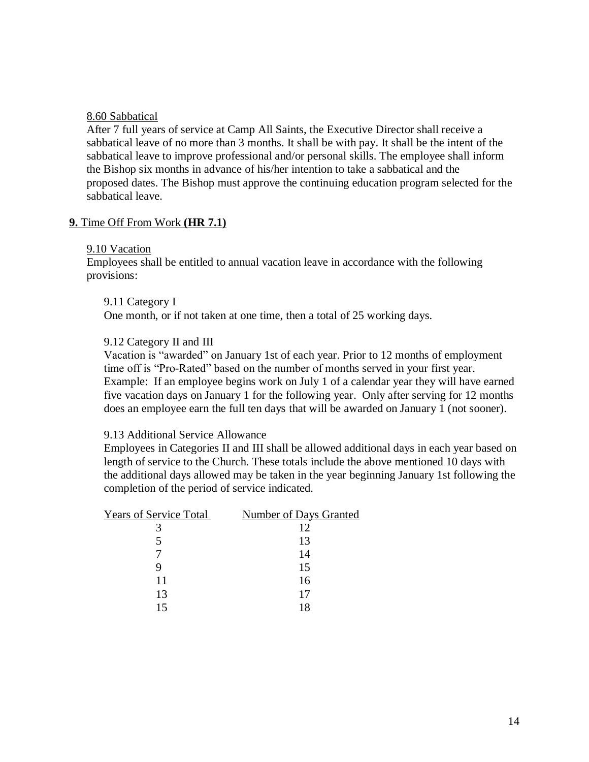#### 8.60 Sabbatical

After 7 full years of service at Camp All Saints, the Executive Director shall receive a sabbatical leave of no more than 3 months. It shall be with pay. It shall be the intent of the sabbatical leave to improve professional and/or personal skills. The employee shall inform the Bishop six months in advance of his/her intention to take a sabbatical and the proposed dates. The Bishop must approve the continuing education program selected for the sabbatical leave.

#### **9.** Time Off From Work **(HR 7.1)**

#### 9.10 Vacation

Employees shall be entitled to annual vacation leave in accordance with the following provisions:

#### 9.11 Category I

One month, or if not taken at one time, then a total of 25 working days.

## 9.12 Category II and III

Vacation is "awarded" on January 1st of each year. Prior to 12 months of employment time off is "Pro-Rated" based on the number of months served in your first year. Example: If an employee begins work on July 1 of a calendar year they will have earned five vacation days on January 1 for the following year. Only after serving for 12 months does an employee earn the full ten days that will be awarded on January 1 (not sooner).

#### 9.13 Additional Service Allowance

Employees in Categories II and III shall be allowed additional days in each year based on length of service to the Church. These totals include the above mentioned 10 days with the additional days allowed may be taken in the year beginning January 1st following the completion of the period of service indicated.

| <b>Years of Service Total</b> | <b>Number of Days Granted</b> |
|-------------------------------|-------------------------------|
|                               | 12                            |
|                               | 13                            |
|                               | 14                            |
|                               | 15                            |
| 11                            | 16                            |
| 13                            | 17                            |
| 15                            | 18                            |
|                               |                               |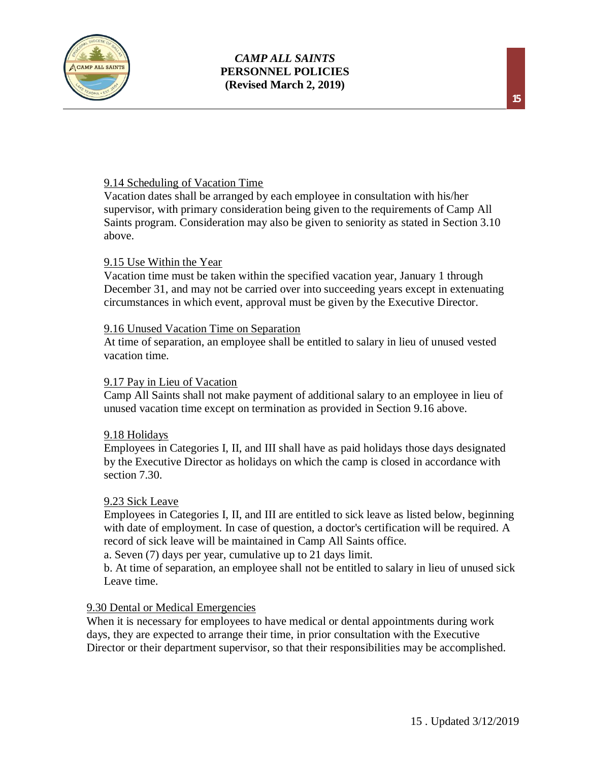

## 9.14 Scheduling of Vacation Time

Vacation dates shall be arranged by each employee in consultation with his/her supervisor, with primary consideration being given to the requirements of Camp All Saints program. Consideration may also be given to seniority as stated in Section 3.10 above.

#### 9.15 Use Within the Year

Vacation time must be taken within the specified vacation year, January 1 through December 31, and may not be carried over into succeeding years except in extenuating circumstances in which event, approval must be given by the Executive Director.

#### 9.16 Unused Vacation Time on Separation

At time of separation, an employee shall be entitled to salary in lieu of unused vested vacation time.

#### 9.17 Pay in Lieu of Vacation

Camp All Saints shall not make payment of additional salary to an employee in lieu of unused vacation time except on termination as provided in Section 9.16 above.

#### 9.18 Holidays

Employees in Categories I, II, and III shall have as paid holidays those days designated by the Executive Director as holidays on which the camp is closed in accordance with section 7.30.

#### 9.23 Sick Leave

Employees in Categories I, II, and III are entitled to sick leave as listed below, beginning with date of employment. In case of question, a doctor's certification will be required. A record of sick leave will be maintained in Camp All Saints office.

a. Seven (7) days per year, cumulative up to 21 days limit.

b. At time of separation, an employee shall not be entitled to salary in lieu of unused sick Leave time.

## 9.30 Dental or Medical Emergencies

When it is necessary for employees to have medical or dental appointments during work days, they are expected to arrange their time, in prior consultation with the Executive Director or their department supervisor, so that their responsibilities may be accomplished.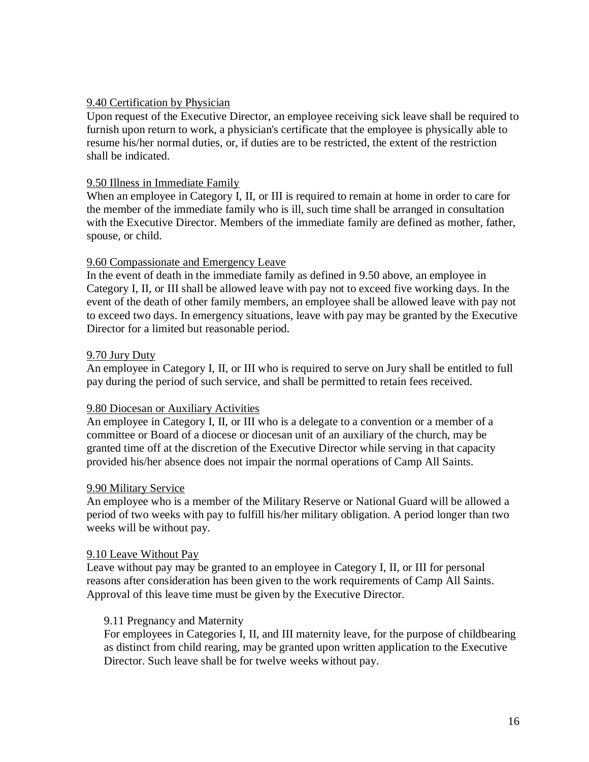## 9.40 Certification by Physician

Upon request of the Executive Director, an employee receiving sick leave shall be required to furnish upon return to work, a physician's certificate that the employee is physically able to resume his/her normal duties, or, if duties are to be restricted, the extent of the restriction shall be indicated.

## 9.50 Illness in Immediate Family

When an employee in Category I, II, or III is required to remain at home in order to care for the member of the immediate family who is ill, such time shall be arranged in consultation with the Executive Director. Members of the immediate family are defined as mother, father, spouse, or child.

## 9.60 Compassionate and Emergency Leave

In the event of death in the immediate family as defined in 9.50 above, an employee in Category I, II, or III shall be allowed leave with pay not to exceed five working days. In the event of the death of other family members, an employee shall be allowed leave with pay not to exceed two days. In emergency situations, leave with pay may be granted by the Executive Director for a limited but reasonable period.

## 9.70 Jury Duty

An employee in Category I, II, or III who is required to serve on Jury shall be entitled to full pay during the period of such service, and shall be permitted to retain fees received.

## 9.80 Diocesan or Auxiliary Activities

An employee in Category I, II, or III who is a delegate to a convention or a member of a committee or Board of a diocese or diocesan unit of an auxiliary of the church, may be granted time off at the discretion of the Executive Director while serving in that capacity provided his/her absence does not impair the normal operations of Camp All Saints.

## 9.90 Military Service

An employee who is a member of the Military Reserve or National Guard will be allowed a period of two weeks with pay to fulfill his/her military obligation. A period longer than two weeks will be without pay.

## 9.10 Leave Without Pay

Leave without pay may be granted to an employee in Category I, II, or III for personal reasons after consideration has been given to the work requirements of Camp All Saints. Approval of this leave time must be given by the Executive Director.

## 9.11 Pregnancy and Maternity

For employees in Categories I, II, and III maternity leave, for the purpose of childbearing as distinct from child rearing, may be granted upon written application to the Executive Director. Such leave shall be for twelve weeks without pay.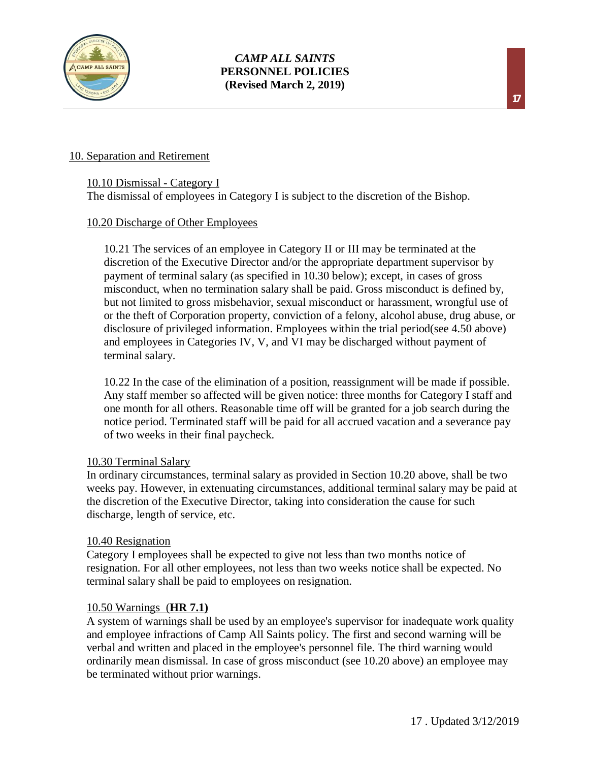

## 10. Separation and Retirement

## 10.10 Dismissal - Category I

The dismissal of employees in Category I is subject to the discretion of the Bishop.

## 10.20 Discharge of Other Employees

10.21 The services of an employee in Category II or III may be terminated at the discretion of the Executive Director and/or the appropriate department supervisor by payment of terminal salary (as specified in 10.30 below); except, in cases of gross misconduct, when no termination salary shall be paid. Gross misconduct is defined by, but not limited to gross misbehavior, sexual misconduct or harassment, wrongful use of or the theft of Corporation property, conviction of a felony, alcohol abuse, drug abuse, or disclosure of privileged information. Employees within the trial period(see 4.50 above) and employees in Categories IV, V, and VI may be discharged without payment of terminal salary.

10.22 In the case of the elimination of a position, reassignment will be made if possible. Any staff member so affected will be given notice: three months for Category I staff and one month for all others. Reasonable time off will be granted for a job search during the notice period. Terminated staff will be paid for all accrued vacation and a severance pay of two weeks in their final paycheck.

## 10.30 Terminal Salary

In ordinary circumstances, terminal salary as provided in Section 10.20 above, shall be two weeks pay. However, in extenuating circumstances, additional terminal salary may be paid at the discretion of the Executive Director, taking into consideration the cause for such discharge, length of service, etc.

## 10.40 Resignation

Category I employees shall be expected to give not less than two months notice of resignation. For all other employees, not less than two weeks notice shall be expected. No terminal salary shall be paid to employees on resignation.

## 10.50 Warnings (**HR 7.1)**

A system of warnings shall be used by an employee's supervisor for inadequate work quality and employee infractions of Camp All Saints policy. The first and second warning will be verbal and written and placed in the employee's personnel file. The third warning would ordinarily mean dismissal. In case of gross misconduct (see 10.20 above) an employee may be terminated without prior warnings.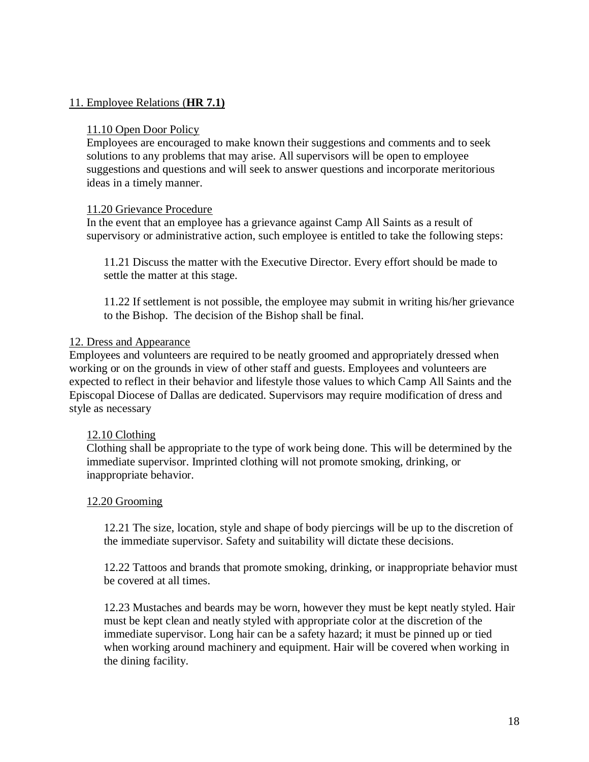## 11. Employee Relations (**HR 7.1)**

#### 11.10 Open Door Policy

Employees are encouraged to make known their suggestions and comments and to seek solutions to any problems that may arise. All supervisors will be open to employee suggestions and questions and will seek to answer questions and incorporate meritorious ideas in a timely manner.

#### 11.20 Grievance Procedure

In the event that an employee has a grievance against Camp All Saints as a result of supervisory or administrative action, such employee is entitled to take the following steps:

11.21 Discuss the matter with the Executive Director. Every effort should be made to settle the matter at this stage.

11.22 If settlement is not possible, the employee may submit in writing his/her grievance to the Bishop. The decision of the Bishop shall be final.

#### 12. Dress and Appearance

Employees and volunteers are required to be neatly groomed and appropriately dressed when working or on the grounds in view of other staff and guests. Employees and volunteers are expected to reflect in their behavior and lifestyle those values to which Camp All Saints and the Episcopal Diocese of Dallas are dedicated. Supervisors may require modification of dress and style as necessary

## 12.10 Clothing

Clothing shall be appropriate to the type of work being done. This will be determined by the immediate supervisor. Imprinted clothing will not promote smoking, drinking, or inappropriate behavior.

## 12.20 Grooming

12.21 The size, location, style and shape of body piercings will be up to the discretion of the immediate supervisor. Safety and suitability will dictate these decisions.

12.22 Tattoos and brands that promote smoking, drinking, or inappropriate behavior must be covered at all times.

12.23 Mustaches and beards may be worn, however they must be kept neatly styled. Hair must be kept clean and neatly styled with appropriate color at the discretion of the immediate supervisor. Long hair can be a safety hazard; it must be pinned up or tied when working around machinery and equipment. Hair will be covered when working in the dining facility.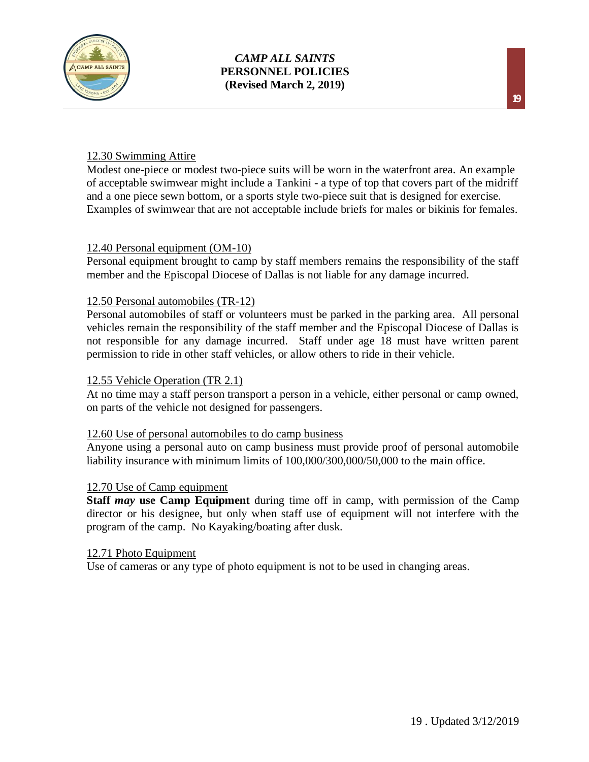

## 12.30 Swimming Attire

Modest one-piece or modest two-piece suits will be worn in the waterfront area. An example of acceptable swimwear might include a Tankini - a type of top that covers part of the midriff and a one piece sewn bottom, or a sports style two-piece suit that is designed for exercise. Examples of swimwear that are not acceptable include briefs for males or bikinis for females.

## 12.40 Personal equipment (OM-10)

Personal equipment brought to camp by staff members remains the responsibility of the staff member and the Episcopal Diocese of Dallas is not liable for any damage incurred.

#### 12.50 Personal automobiles (TR-12)

Personal automobiles of staff or volunteers must be parked in the parking area. All personal vehicles remain the responsibility of the staff member and the Episcopal Diocese of Dallas is not responsible for any damage incurred. Staff under age 18 must have written parent permission to ride in other staff vehicles, or allow others to ride in their vehicle.

#### 12.55 Vehicle Operation (TR 2.1)

At no time may a staff person transport a person in a vehicle, either personal or camp owned, on parts of the vehicle not designed for passengers.

#### 12.60 Use of personal automobiles to do camp business

Anyone using a personal auto on camp business must provide proof of personal automobile liability insurance with minimum limits of 100,000/300,000/50,000 to the main office.

#### 12.70 Use of Camp equipment

**Staff** *may* **use Camp Equipment** during time off in camp, with permission of the Camp director or his designee, but only when staff use of equipment will not interfere with the program of the camp. No Kayaking/boating after dusk.

#### 12.71 Photo Equipment

Use of cameras or any type of photo equipment is not to be used in changing areas.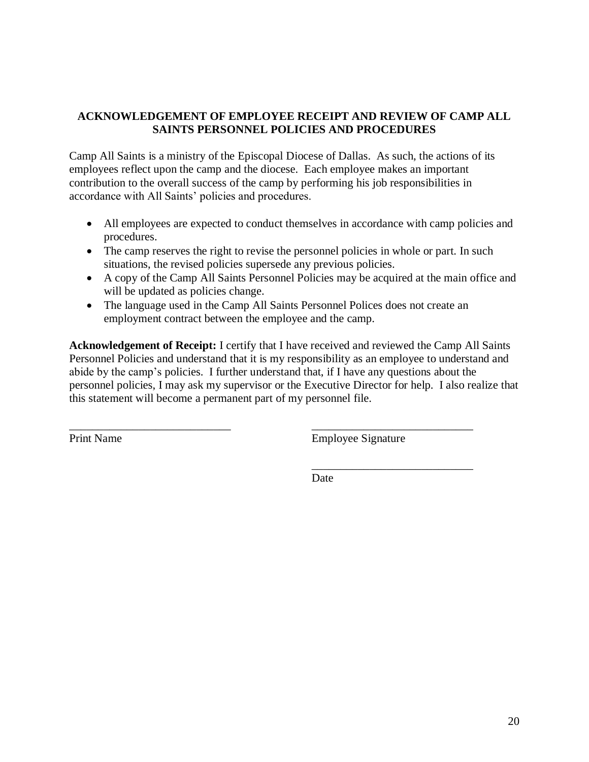## **ACKNOWLEDGEMENT OF EMPLOYEE RECEIPT AND REVIEW OF CAMP ALL SAINTS PERSONNEL POLICIES AND PROCEDURES**

Camp All Saints is a ministry of the Episcopal Diocese of Dallas. As such, the actions of its employees reflect upon the camp and the diocese. Each employee makes an important contribution to the overall success of the camp by performing his job responsibilities in accordance with All Saints' policies and procedures.

- All employees are expected to conduct themselves in accordance with camp policies and procedures.
- The camp reserves the right to revise the personnel policies in whole or part. In such situations, the revised policies supersede any previous policies.
- A copy of the Camp All Saints Personnel Policies may be acquired at the main office and will be updated as policies change.
- The language used in the Camp All Saints Personnel Polices does not create an employment contract between the employee and the camp.

\_\_\_\_\_\_\_\_\_\_\_\_\_\_\_\_\_\_\_\_\_\_\_\_\_\_\_\_ \_\_\_\_\_\_\_\_\_\_\_\_\_\_\_\_\_\_\_\_\_\_\_\_\_\_\_\_

**Acknowledgement of Receipt:** I certify that I have received and reviewed the Camp All Saints Personnel Policies and understand that it is my responsibility as an employee to understand and abide by the camp's policies. I further understand that, if I have any questions about the personnel policies, I may ask my supervisor or the Executive Director for help. I also realize that this statement will become a permanent part of my personnel file.

Print Name Employee Signature

\_\_\_\_\_\_\_\_\_\_\_\_\_\_\_\_\_\_\_\_\_\_\_\_\_\_\_\_

**Date**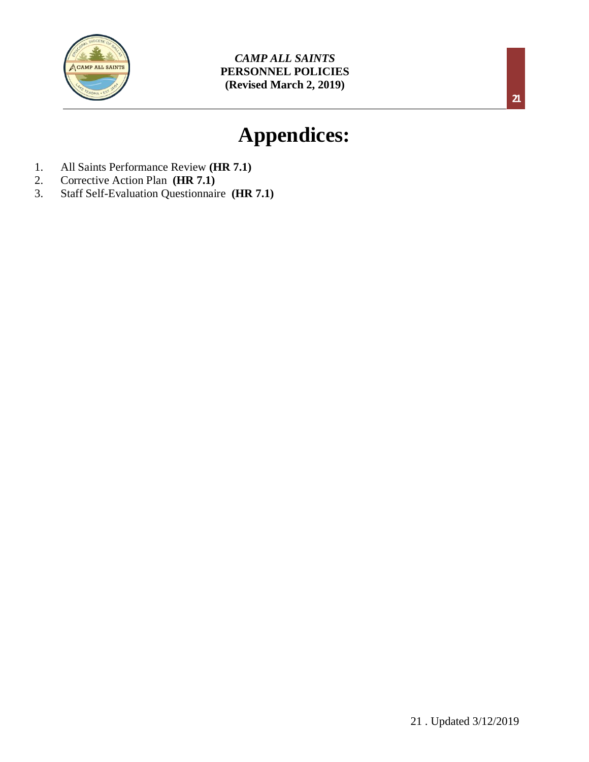

# **Appendices:**

- 1. All Saints Performance Review **(HR 7.1)**
- 2. Corrective Action Plan **(HR 7.1)**
- 3. Staff Self-Evaluation Questionnaire **(HR 7.1)**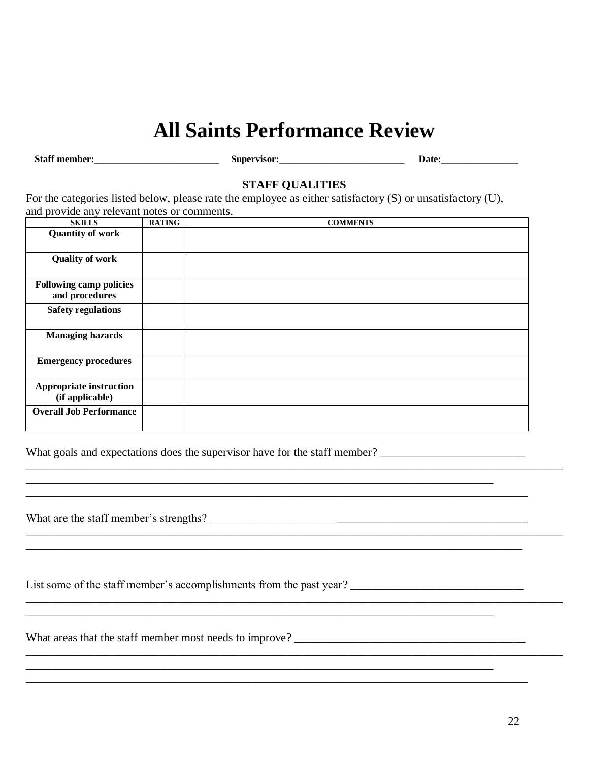## **All Saints Performance Review**

**Staff member:\_\_\_\_\_\_\_\_\_\_\_\_\_\_\_\_\_\_\_\_\_\_\_\_\_\_ Supervisor:\_\_\_\_\_\_\_\_\_\_\_\_\_\_\_\_\_\_\_\_\_\_\_\_\_\_ Date:\_\_\_\_\_\_\_\_\_\_\_\_\_\_\_\_**

## **STAFF QUALITIES**

For the categories listed below, please rate the employee as either satisfactory (S) or unsatisfactory (U), and provide any relevant notes or comments.

| <b>SKILLS</b>                                    | <b>RATING</b> | <b>COMMENTS</b> |
|--------------------------------------------------|---------------|-----------------|
| <b>Quantity of work</b>                          |               |                 |
| <b>Quality of work</b>                           |               |                 |
| <b>Following camp policies</b><br>and procedures |               |                 |
| <b>Safety regulations</b>                        |               |                 |
| <b>Managing hazards</b>                          |               |                 |
| <b>Emergency procedures</b>                      |               |                 |
| Appropriate instruction<br>(if applicable)       |               |                 |
| <b>Overall Job Performance</b>                   |               |                 |

\_\_\_\_\_\_\_\_\_\_\_\_\_\_\_\_\_\_\_\_\_\_\_\_\_\_\_\_\_\_\_\_\_\_\_\_\_\_\_\_\_\_\_\_\_\_\_\_\_\_\_\_\_\_\_\_\_\_\_\_\_\_\_\_\_\_\_\_\_\_\_\_\_\_\_\_\_\_\_\_\_

\_\_\_\_\_\_\_\_\_\_\_\_\_\_\_\_\_\_\_\_\_\_\_\_\_\_\_\_\_\_\_\_\_\_\_\_\_\_\_\_\_\_\_\_\_\_\_\_\_\_\_\_\_\_\_\_\_\_\_\_\_\_\_\_\_\_\_\_\_\_\_\_\_\_\_\_\_\_\_\_\_\_\_\_\_\_

\_\_\_\_\_\_\_\_\_\_\_\_\_\_\_\_\_\_\_\_\_\_\_\_\_\_\_\_\_\_\_\_\_\_\_\_\_\_\_\_\_\_\_\_\_\_\_\_\_\_\_\_\_\_\_\_\_\_\_\_\_\_\_\_\_\_\_\_\_\_\_\_\_\_\_\_\_\_\_\_\_\_\_\_\_\_\_\_\_\_\_\_\_

\_\_\_\_\_\_\_\_\_\_\_\_\_\_\_\_\_\_\_\_\_\_\_\_\_\_\_\_\_\_\_\_\_\_\_\_\_\_\_\_\_\_\_\_\_\_\_\_\_\_\_\_\_\_\_\_\_\_\_\_\_\_\_\_\_\_\_\_\_\_\_\_\_\_\_\_\_\_\_\_\_\_\_\_\_\_\_

What goals and expectations does the supervisor have for the staff member? \_\_\_\_\_\_\_\_\_\_\_\_\_\_\_\_\_\_\_\_\_\_\_\_\_

\_\_\_\_\_\_\_\_\_\_\_\_\_\_\_\_\_\_\_\_\_\_\_\_\_\_\_\_\_\_\_\_\_\_\_\_\_\_\_\_\_\_\_\_\_\_\_\_\_\_\_\_\_\_\_\_\_\_\_\_\_\_\_\_\_\_\_\_\_\_\_\_\_\_\_\_\_\_\_\_\_\_\_\_\_\_\_\_\_\_\_\_\_

What are the staff member's strengths? \_\_\_\_\_\_\_\_\_\_\_\_\_\_\_\_\_\_\_\_\_\_\_\_\_\_\_\_\_\_\_\_\_\_\_\_\_\_\_\_\_\_\_\_\_\_\_\_\_\_\_\_\_\_\_

| List some of the staff member's accomplishments from the past year? |  |
|---------------------------------------------------------------------|--|
|                                                                     |  |

\_\_\_\_\_\_\_\_\_\_\_\_\_\_\_\_\_\_\_\_\_\_\_\_\_\_\_\_\_\_\_\_\_\_\_\_\_\_\_\_\_\_\_\_\_\_\_\_\_\_\_\_\_\_\_\_\_\_\_\_\_\_\_\_\_\_\_\_\_\_\_\_\_\_\_\_\_\_\_\_\_\_\_\_\_\_\_\_\_\_\_\_\_

What areas that the staff member most needs to improve? \_\_\_\_\_\_\_\_\_\_\_\_\_\_\_\_\_\_\_\_\_\_\_\_\_\_\_\_\_\_\_\_\_\_\_\_\_\_\_\_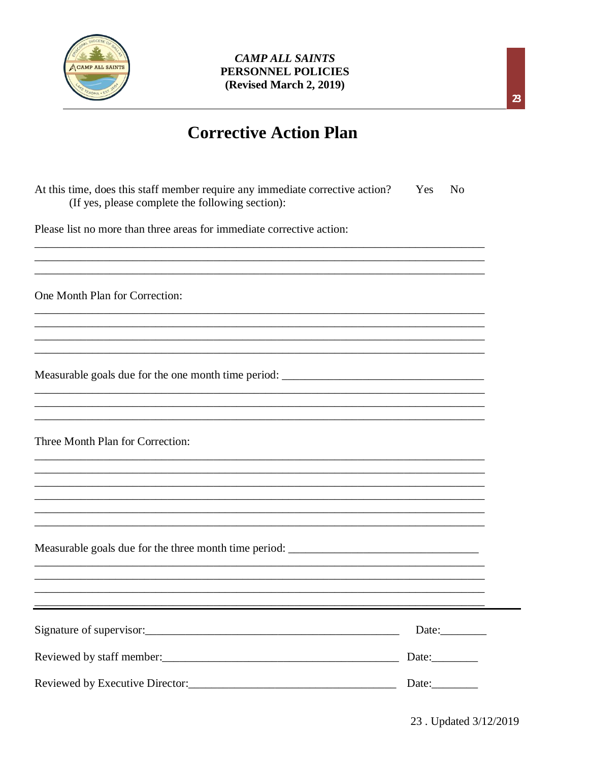

## **Corrective Action Plan**

| At this time, does this staff member require any immediate corrective action?<br>(If yes, please complete the following section): | Yes | N <sub>0</sub> |
|-----------------------------------------------------------------------------------------------------------------------------------|-----|----------------|
| Please list no more than three areas for immediate corrective action:                                                             |     |                |
| One Month Plan for Correction:                                                                                                    |     |                |
| Measurable goals due for the one month time period: _____________________________                                                 |     |                |
| Three Month Plan for Correction:                                                                                                  |     |                |
|                                                                                                                                   |     |                |
|                                                                                                                                   |     | Date:          |
|                                                                                                                                   |     |                |
|                                                                                                                                   |     | Date:_________ |

 $\mathbf{z}$